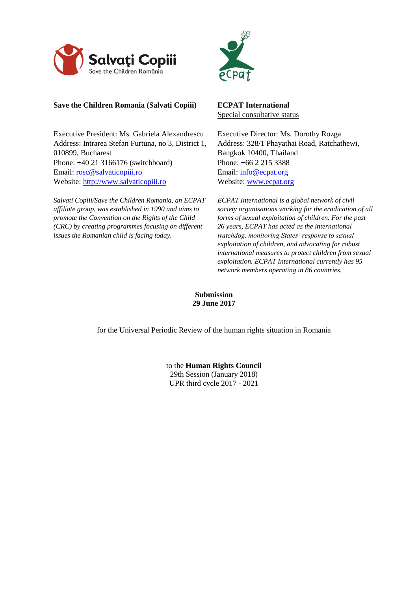



# **Save the Children Romania (Salvati Copiii)**

Executive President: Ms. Gabriela Alexandrescu Address: Intrarea Stefan Furtuna, no 3, District 1, 010899, Bucharest Phone: +40 21 3166176 (switchboard) Email: [rosc@salvaticopiii.ro](mailto:rosc@salvaticopiii.ro) Website: [http://www.salvaticopiii.ro](http://www.salvaticopiii.ro/)

*Salvati Copiii/Save the Children Romania, an ECPAT affiliate group, was established in 1990 and aims to promote the Convention on the Rights of the Child (CRC) by creating programmes focusing on different issues the Romanian child is facing today.* 

**ECPAT International** Special consultative status

Executive Director: Ms. Dorothy Rozga Address: 328/1 Phayathai Road, Ratchathewi, Bangkok 10400, Thailand Phone: [+66 2 215 3388](tel:+66%202%20215%203388) Email: info@ecpat.org Website: [www.ecpat.org](http://www.ecpat.org/)

*ECPAT International is a global network of civil society organisations working for the eradication of all forms of sexual exploitation of children. For the past 26 years, ECPAT has acted as the international watchdog, monitoring States' response to sexual exploitation of children, and advocating for robust international measures to protect children from sexual exploitation. ECPAT International currently has 95 network members operating in 86 countries.*

**Submission 29 June 2017**

for the Universal Periodic Review of the human rights situation in Romania

to the **Human Rights Council** 29th Session (January 2018) UPR third cycle 2017 - 2021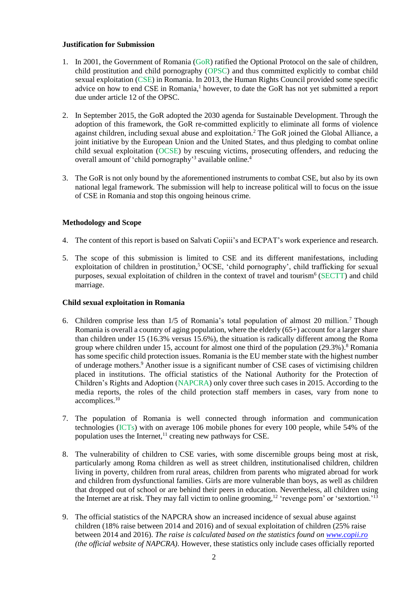## **Justification for Submission**

- 1. In 2001, the Government of Romania (GoR) ratified the Optional Protocol on the sale of children, child prostitution and child pornography (OPSC) and thus committed explicitly to combat child sexual exploitation (CSE) in Romania. In 2013, the Human Rights Council provided some specific advice on how to end CSE in Romania, <sup>1</sup> however, to date the GoR has not yet submitted a report due under article 12 of the OPSC.
- 2. In September 2015, the GoR adopted the 2030 agenda for Sustainable Development. Through the adoption of this framework, the GoR re-committed explicitly to eliminate all forms of violence against children, including sexual abuse and exploitation.<sup>2</sup> The GoR joined the Global Alliance, a joint initiative by the European Union and the United States, and thus pledging to combat online child sexual exploitation (OCSE) by rescuing victims, prosecuting offenders, and reducing the overall amount of 'child pornography'<sup>3</sup> available online.<sup>4</sup>
- 3. The GoR is not only bound by the aforementioned instruments to combat CSE, but also by its own national legal framework. The submission will help to increase political will to focus on the issue of CSE in Romania and stop this ongoing heinous crime.

# **Methodology and Scope**

- 4. The content of this report is based on Salvati Copiii's and ECPAT's work experience and research.
- 5. The scope of this submission is limited to CSE and its different manifestations, including exploitation of children in prostitution,<sup>5</sup> OCSE, 'child pornography', child trafficking for sexual purposes, sexual exploitation of children in the context of travel and tourism<sup>6</sup> (SECTT) and child marriage.

## **Child sexual exploitation in Romania**

- <span id="page-1-0"></span>6. Children comprise less than 1/5 of Romania's total population of almost 20 million. <sup>7</sup> Though Romania is overall a country of aging population, where the elderly  $(65+)$  account for a larger share than children under 15 (16.3% versus 15.6%), the situation is radically different among the Roma group where children under 15, account for almost one third of the population (29.3%).<sup>8</sup> Romania has some specific child protection issues. Romania is the EU member state with the highest number of underage mothers.<sup>9</sup> Another issue is a significant number of CSE cases of victimising children placed in institutions. The official statistics of the National Authority for the Protection of Children's Rights and Adoption (NAPCRA) only cover three such cases in 2015. According to the media reports, the roles of the child protection staff members in cases, vary from none to accomplices.<sup>10</sup>
- 7. The population of Romania is well connected through information and communication technologies (ICTs) with on average 106 mobile phones for every 100 people, while 54% of the population uses the Internet,<sup>11</sup> creating new pathways for CSE.
- 8. The vulnerability of children to CSE varies, with some discernible groups being most at risk, particularly among Roma children as well as street children, institutionalised children, children living in poverty, children from rural areas, children from parents who migrated abroad for work and children from dysfunctional families. Girls are more vulnerable than boys, as well as children that dropped out of school or are behind their peers in education. Nevertheless, all children using the Internet are at risk. They may fall victim to online grooming,<sup>12</sup> 'revenge porn' or 'sextortion.<sup>'13</sup>
- 9. The official statistics of the NAPCRA show an increased incidence of sexual abuse against children (18% raise between 2014 and 2016) and of sexual exploitation of children (25% raise between 2014 and 2016). *The raise is calculated based on the statistics found o[n www.copii.ro](http://www.copii.ro/) (the official website of NAPCRA)*. However, these statistics only include cases officially reported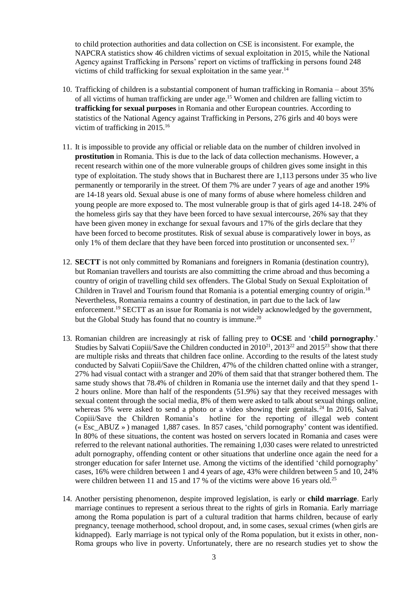to child protection authorities and data collection on CSE is inconsistent. For example, the NAPCRA statistics show 46 children victims of sexual exploitation in 2015, while the National Agency against Trafficking in Persons' report on victims of trafficking in persons found 248 victims of child trafficking for sexual exploitation in the same year. 14

- 10. Trafficking of children is a substantial component of human trafficking in Romania about 35% of all victims of human trafficking are under age. <sup>15</sup> Women and children are falling victim to **trafficking for sexual purposes** in Romania and other European countries. According to statistics of the National Agency against Trafficking in Persons, 276 girls and 40 boys were victim of trafficking in 2015.<sup>16</sup>
- 11. It is impossible to provide any official or reliable data on the number of children involved in **prostitution** in Romania. This is due to the lack of data collection mechanisms. However, a recent research within one of the more vulnerable groups of children gives some insight in this type of exploitation. The study shows that in Bucharest there are 1,113 persons under 35 who live permanently or temporarily in the street. Of them 7% are under 7 years of age and another 19% are 14-18 years old. Sexual abuse is one of many forms of abuse where homeless children and young people are more exposed to. The most vulnerable group is that of girls aged 14-18. 24% of the homeless girls say that they have been forced to have sexual intercourse, 26% say that they have been given money in exchange for sexual favours and 17% of the girls declare that they have been forced to become prostitutes. Risk of sexual abuse is comparatively lower in boys, as only 1% of them declare that they have been forced into prostitution or unconsented sex.<sup>17</sup>
- 12. **SECTT** is not only committed by Romanians and foreigners in Romania (destination country), but Romanian travellers and tourists are also committing the crime abroad and thus becoming a country of origin of travelling child sex offenders. The Global Study on Sexual Exploitation of Children in Travel and Tourism found that Romania is a potential emerging country of origin.<sup>18</sup> Nevertheless, Romania remains a country of destination, in part due to the lack of law enforcement.<sup>19</sup> SECTT as an issue for Romania is not widely acknowledged by the government, but the Global Study has found that no country is immune.<sup>20</sup>
- 13. Romanian children are increasingly at risk of falling prey to **OCSE** and '**child pornography**.' Studies by Salvati Copiii/Save the Children conducted in  $2010^{21}$ ,  $2013^{22}$  and  $2015^{23}$  show that there are multiple risks and threats that children face online. According to the results of the latest study conducted by Salvati Copiii/Save the Children, 47% of the children chatted online with a stranger, 27% had visual contact with a stranger and 20% of them said that that stranger bothered them. The same study shows that 78.4% of children in Romania use the internet daily and that they spend 1- 2 hours online. More than half of the respondents (51.9%) say that they received messages with sexual content through the social media, 8% of them were asked to talk about sexual things online, whereas 5% were asked to send a photo or a video showing their genitals.<sup>24</sup> In 2016, Salvati Copiii/Save the Children Romania's hotline for the reporting of illegal web content (« Esc\_ABUZ » ) managed 1,887 cases. In 857 cases, 'child pornography' content was identified. In 80% of these situations, the content was hosted on servers located in Romania and cases were referred to the relevant national authorities. The remaining 1,030 cases were related to unrestricted adult pornography, offending content or other situations that underline once again the need for a stronger education for safer Internet use. Among the victims of the identified 'child pornography' cases, 16% were children between 1 and 4 years of age, 43% were children between 5 and 10, 24% were children between 11 and 15 and 17 % of the victims were above 16 years old.<sup>25</sup>
- <span id="page-2-0"></span>14. Another persisting phenomenon, despite improved legislation, is early or **child marriage**. Early marriage continues to represent a serious threat to the rights of girls in Romania. Early marriage among the Roma population is part of a cultural tradition that harms children, because of early pregnancy, teenage motherhood, school dropout, and, in some cases, sexual crimes (when girls are kidnapped). Early marriage is not typical only of the Roma population, but it exists in other, non-Roma groups who live in poverty. Unfortunately, there are no research studies yet to show the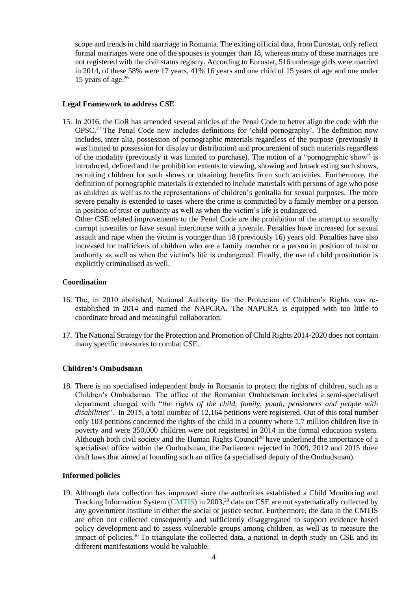scope and trends in child marriage in Romania. The exiting official data, from Eurostat, only reflect formal marriages were one of the spouses is younger than 18, whereas many of these marriages are not registered with the civil status registry. According to Eurostat, 516 underage girls were married in 2014, of these 58% were 17 years, 41% 16 years and one child of 15 years of age and one under 15 years of age. 26

## **Legal Framework to address CSE**

15. In 2016, the GoR has amended several articles of the Penal Code to better align the code with the OPSC.<sup>27</sup> The Penal Code now includes definitions for 'child pornography'. The definition now includes, inter alia, possession of pornographic materials regardless of the purpose (previously it was limited to possession for display or distribution) and procurement of such materials regardless of the modality (previously it was limited to purchase). The notion of a "pornographic show" is introduced, defined and the prohibition extents to viewing, showing and broadcasting such shows, recruiting children for such shows or obtaining benefits from such activities. Furthermore, the definition of pornographic materials is extended to include materials with persons of age who pose as children as well as to the representations of children's genitalia for sexual purposes. The more severe penalty is extended to cases where the crime is committed by a family member or a person in position of trust or authority as well as when the victim's life is endangered.

Other CSE related improvements to the Penal Code are the prohibition of the attempt to sexually corrupt juveniles or have sexual intercourse with a juvenile. Penalties have increased for sexual assault and rape when the victim is younger than 18 (previously 16) years old. Penalties have also increased for traffickers of children who are a family member or a person in position of trust or authority as well as when the victim's life is endangered. Finally, the use of child prostitution is explicitly criminalised as well.

### **Coordination**

- <span id="page-3-0"></span>16. The, in 2010 abolished, National Authority for the Protection of Children's Rights was reestablished in 2014 and named the NAPCRA. The NAPCRA is equipped with too little to coordinate broad and meaningful collaboration.
- <span id="page-3-1"></span>17. The National Strategy for the Protection and Promotion of Child Rights 2014-2020 does not contain many specific measures to combat CSE.

## **Children's Ombudsman**

<span id="page-3-2"></span>18. There is no specialised independent body in Romania to protect the rights of children, such as a Children's Ombudsman. The office of the Romanian Ombudsman includes a semi-specialised department charged with "*the rights of the child, family, youth, pensioners and people with disabilities*". In 2015, a total number of 12,164 petitions were registered. Out of this total number only 103 petitions concerned the rights of the child in a country where 1.7 million children live in poverty and were 350,000 children were not registered in 2014 in the formal education system. Although both civil society and the Human Rights Council<sup>28</sup> have underlined the importance of a specialised office within the Ombudsman, the Parliament rejected in 2009, 2012 and 2015 three draft laws that aimed at founding such an office (a specialised deputy of the Ombudsman).

## **Informed policies**

<span id="page-3-3"></span>19. Although data collection has improved since the authorities established a Child Monitoring and Tracking Information System (CMTIS) in 2003,<sup>29</sup> data on CSE are not systematically collected by any government institute in either the social or justice sector. Furthermore, the data in the CMTIS are often not collected consequently and sufficiently disaggregated to support evidence based policy development and to assess vulnerable groups among children, as well as to measure the impact of policies.<sup>30</sup> To triangulate the collected data, a national in-depth study on CSE and its different manifestations would be valuable.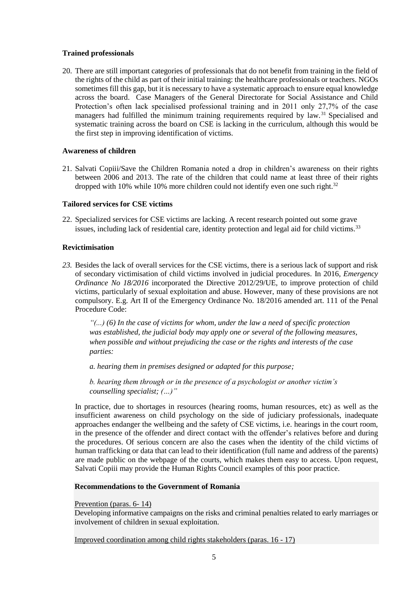## **Trained professionals**

<span id="page-4-0"></span>20. There are still important categories of professionals that do not benefit from training in the field of the rights of the child as part of their initial training: the healthcare professionals or teachers. NGOs sometimes fill this gap, but it is necessary to have a systematic approach to ensure equal knowledge across the board. Case Managers of the General Directorate for Social Assistance and Child Protection's often lack specialised professional training and in 2011 only 27,7% of the case managers had fulfilled the minimum training requirements required by law.<sup>31</sup> Specialised and systematic training across the board on CSE is lacking in the curriculum, although this would be the first step in improving identification of victims.

## **Awareness of children**

<span id="page-4-1"></span>21. Salvati Copiii/Save the Children Romania noted a drop in children's awareness on their rights between 2006 and 2013. The rate of the children that could name at least three of their rights dropped with 10% while 10% more children could not identify even one such right.<sup>32</sup>

## **Tailored services for CSE victims**

<span id="page-4-2"></span>22. Specialized services for CSE victims are lacking. A recent research pointed out some grave issues, including lack of residential care, identity protection and legal aid for child victims.<sup>33</sup>

## **Revictimisation**

<span id="page-4-3"></span>*23.* Besides the lack of overall services for the CSE victims, there is a serious lack of support and risk of secondary victimisation of child victims involved in judicial procedures. In 2016, *Emergency Ordinance No 18/2016* incorporated the Directive 2012/29/UE, to improve protection of child victims, particularly of sexual exploitation and abuse. However, many of these provisions are not compulsory. E.g. Art II of the Emergency Ordinance No. 18/2016 amended art. 111 of the Penal Procedure Code:

*"(...) (6) In the case of victims for whom, under the law a need of specific protection was established, the judicial body may apply one or several of the following measures, when possible and without prejudicing the case or the rights and interests of the case parties:* 

*a. hearing them in premises designed or adapted for this purpose;*

*b. hearing them through or in the presence of a psychologist or another victim's counselling specialist; (…)"*

In practice, due to shortages in resources (hearing rooms, human resources, etc) as well as the insufficient awareness on child psychology on the side of judiciary professionals, inadequate approaches endanger the wellbeing and the safety of CSE victims, i.e. hearings in the court room, in the presence of the offender and direct contact with the offender's relatives before and during the procedures. Of serious concern are also the cases when the identity of the child victims of human trafficking or data that can lead to their identification (full name and address of the parents) are made public on the webpage of the courts, which makes them easy to access. Upon request, Salvati Copiii may provide the Human Rights Council examples of this poor practice.

## **Recommendations to the Government of Romania**

## Prevention (paras. [6-](#page-1-0) [14\)](#page-2-0)

Developing informative campaigns on the risks and criminal penalties related to early marriages or involvement of children in sexual exploitation.

Improved coordination among child rights stakeholders (paras. [16](#page-3-0) - [17\)](#page-3-1)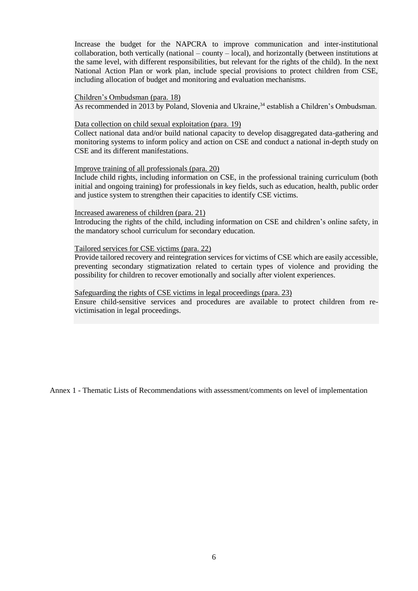Increase the budget for the NAPCRA to improve communication and inter-institutional collaboration, both vertically (national – county – local), and horizontally (between institutions at the same level, with different responsibilities, but relevant for the rights of the child). In the next National Action Plan or work plan, include special provisions to protect children from CSE, including allocation of budget and monitoring and evaluation mechanisms.

#### Children's Ombudsman (para. [18\)](#page-3-2)

As recommended in 2013 by Poland, Slovenia and Ukraine,<sup>34</sup> establish a Children's Ombudsman.

#### Data collection on child sexual exploitation (para. [19\)](#page-3-3)

Collect national data and/or build national capacity to develop disaggregated data-gathering and monitoring systems to inform policy and action on CSE and conduct a national in-depth study on CSE and its different manifestations.

#### Improve training of all professionals (para. [20\)](#page-4-0)

Include child rights, including information on CSE, in the professional training curriculum (both initial and ongoing training) for professionals in key fields, such as education, health, public order and justice system to strengthen their capacities to identify CSE victims.

### Increased awareness of children (para. [21\)](#page-4-1)

Introducing the rights of the child, including information on CSE and children's online safety, in the mandatory school curriculum for secondary education.

#### Tailored services for CSE victims (para. [22\)](#page-4-2)

Provide tailored recovery and reintegration services for victims of CSE which are easily accessible, preventing secondary stigmatization related to certain types of violence and providing the possibility for children to recover emotionally and socially after violent experiences.

### Safeguarding the rights of CSE victims in legal proceedings (para. [23\)](#page-4-3)

Ensure child-sensitive services and procedures are available to protect children from revictimisation in legal proceedings.

Annex 1 - Thematic Lists of Recommendations with assessment/comments on level of implementation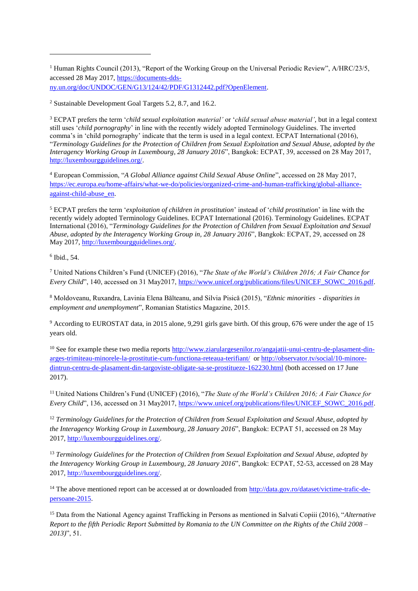<sup>1</sup> Human Rights Council (2013), "Report of the Working Group on the Universal Periodic Review", A/HRC/23/5, accessed 28 May 2017[, https://documents-dds](https://documents-dds-ny.un.org/doc/UNDOC/GEN/G13/124/42/PDF/G1312442.pdf?OpenElement)[ny.un.org/doc/UNDOC/GEN/G13/124/42/PDF/G1312442.pdf?OpenElement.](https://documents-dds-ny.un.org/doc/UNDOC/GEN/G13/124/42/PDF/G1312442.pdf?OpenElement)

<sup>2</sup> Sustainable Development Goal Targets 5.2, 8.7, and 16.2.

<sup>3</sup> ECPAT prefers the term '*child sexual exploitation material'* or '*child sexual abuse material'*, but in a legal context still uses '*child pornography*' in line with the recently widely adopted Terminology Guidelines. The inverted comma's in 'child pornography' indicate that the term is used in a legal context. ECPAT International (2016), "*Terminology Guidelines for the Protection of Children from Sexual Exploitation and Sexual Abuse, adopted by the Interagency Working Group in Luxembourg, 28 January 2016*", Bangkok: ECPAT, 39, accessed on 28 May 2017, [http://luxembourgguidelines.org/.](http://luxembourgguidelines.org/)

<sup>4</sup> European Commission, "*A Global Alliance against Child Sexual Abuse Online*", accessed on 28 May 2017, [https://ec.europa.eu/home-affairs/what-we-do/policies/organized-crime-and-human-trafficking/global-alliance](https://ec.europa.eu/home-affairs/what-we-do/policies/organized-crime-and-human-trafficking/global-alliance-against-child-abuse_en)[against-child-abuse\\_en.](https://ec.europa.eu/home-affairs/what-we-do/policies/organized-crime-and-human-trafficking/global-alliance-against-child-abuse_en)

<sup>5</sup> ECPAT prefers the term '*exploitation of children in prostitution*' instead of '*child prostitution*' in line with the recently widely adopted Terminology Guidelines. ECPAT International (2016). Terminology Guidelines. ECPAT International (2016), "*Terminology Guidelines for the Protection of Children from Sexual Exploitation and Sexual Abuse, adopted by the Interagency Working Group in, 28 January 2016*", Bangkok: ECPAT, 29, accessed on 28 May 2017[, http://luxembourgguidelines.org/.](http://luxembourgguidelines.org/)

6 Ibid., 54.

j

<sup>7</sup> United Nations Children's Fund (UNICEF) (2016), "*The State of the World's Children 2016; A Fair Chance for Every Child*", 140, accessed on 31 May2017, [https://www.unicef.org/publications/files/UNICEF\\_SOWC\\_2016.pdf.](https://www.unicef.org/publications/files/UNICEF_SOWC_2016.pdf)

<sup>8</sup> Moldoveanu, Ruxandra, Lavinia Elena Bălteanu, and Silvia Pisică (2015), "*Ethnic minorities - disparities in employment and unemployment*", Romanian Statistics Magazine, 2015.

<sup>9</sup> According to EUROSTAT data, in 2015 alone, 9,291 girls gave birth. Of this group, 676 were under the age of 15 years old.

<sup>10</sup> See for example these two media reports [http://www.ziarulargesenilor.ro/angajatii-unui-centru-de-plasament-din](http://www.ziarulargesenilor.ro/angajatii-unui-centru-de-plasament-din-arges-trimiteau-minorele-la-prostitutie-cum-functiona-reteaua-terifiant/)[arges-trimiteau-minorele-la-prostitutie-cum-functiona-reteaua-terifiant/](http://www.ziarulargesenilor.ro/angajatii-unui-centru-de-plasament-din-arges-trimiteau-minorele-la-prostitutie-cum-functiona-reteaua-terifiant/) or [http://observator.tv/social/10-minore](http://observator.tv/social/10-minore-dintrun-centru-de-plasament-din-targoviste-obligate-sa-se-prostitueze-162230.html)[dintrun-centru-de-plasament-din-targoviste-obligate-sa-se-prostitueze-162230.html](http://observator.tv/social/10-minore-dintrun-centru-de-plasament-din-targoviste-obligate-sa-se-prostitueze-162230.html) (both accessed on 17 June 2017).

<sup>11</sup> United Nations Children's Fund (UNICEF) (2016), "*The State of the World's Children 2016; A Fair Chance for Every Child*", 136, accessed on 31 May2017, [https://www.unicef.org/publications/files/UNICEF\\_SOWC\\_2016.pdf.](https://www.unicef.org/publications/files/UNICEF_SOWC_2016.pdf)

<sup>12</sup> *Terminology Guidelines for the Protection of Children from Sexual Exploitation and Sexual Abuse, adopted by the Interagency Working Group in Luxembourg, 28 January 2016*", Bangkok: ECPAT 51, accessed on 28 May 2017, [http://luxembourgguidelines.org/.](http://luxembourgguidelines.org/)

<sup>13</sup> *Terminology Guidelines for the Protection of Children from Sexual Exploitation and Sexual Abuse, adopted by the Interagency Working Group in Luxembourg, 28 January 2016*", Bangkok: ECPAT, 52-53, accessed on 28 May 2017, [http://luxembourgguidelines.org/.](http://luxembourgguidelines.org/)

<sup>14</sup> The above mentioned report can be accessed at or downloaded from [http://data.gov.ro/dataset/victime-trafic-de](http://data.gov.ro/dataset/victime-trafic-de-persoane-2015)[persoane-2015.](http://data.gov.ro/dataset/victime-trafic-de-persoane-2015)

<sup>15</sup> Data from the National Agency against Trafficking in Persons as mentioned in Salvati Copiii (2016), "*Alternative Report to the fifth Periodic Report Submitted by Romania to the UN Committee on the Rights of the Child 2008 – 2013)*", 51.